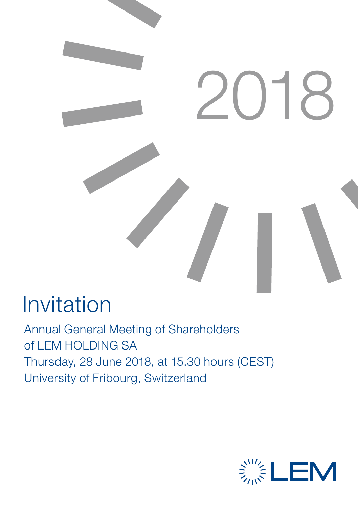

## Invitation

Annual General Meeting of Shareholders of LEM HOLDING SA Thursday, 28 June 2018, at 15.30 hours (CEST) University of Fribourg, Switzerland

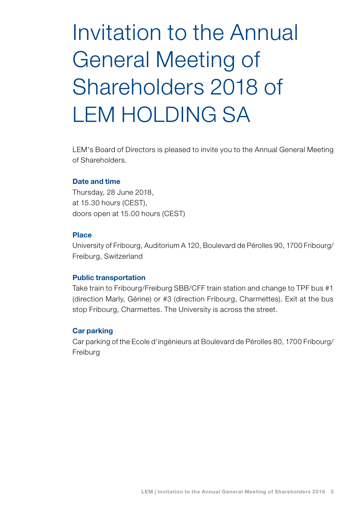# Invitation to the Annual General Meeting of Shareholders 2018 of LEM HOLDING SA

LEM's Board of Directors is pleased to invite you to the Annual General Meeting of Shareholders.

#### Date and time

Thursday, 28 June 2018, at 15.30 hours (CEST), doors open at 15.00 hours (CEST)

#### Place

University of Fribourg, Auditorium A 120, Boulevard de Pérolles 90, 1700 Fribourg/ Freiburg, Switzerland

#### Public transportation

Take train to Fribourg/Freiburg SBB/CFF train station and change to TPF bus #1 (direction Marly, Gérine) or #3 (direction Fribourg, Charmettes). Exit at the bus stop Fribourg, Charmettes. The University is across the street.

#### Car parking

Car parking of the Ecole d'ingénieurs at Boulevard de Pérolles 80, 1700 Fribourg/ Freiburg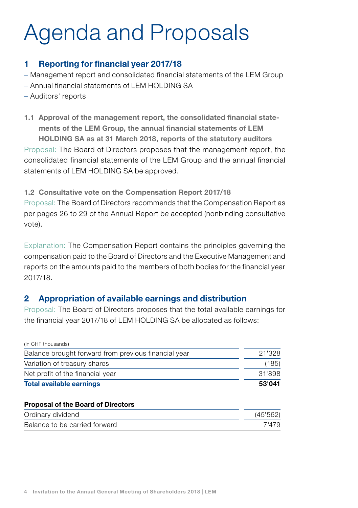# Agenda and Proposals

## 1 Reporting for financial year 2017/18

- Management report and consolidated financial statements of the LEM Group
- Annual financial statements of LEM HOLDING SA
- Auditors' reports
- 1.1 Approval of the management report, the consolidated financial statements of the LEM Group, the annual financial statements of LEM HOLDING SA as at 31 March 2018, reports of the statutory auditors Proposal: The Board of Directors proposes that the management report, the consolidated financial statements of the LEM Group and the annual financial statements of LEM HOLDING SA be approved.

1.2 Consultative vote on the Compensation Report 2017/18 Proposal: The Board of Directors recommends that the Compensation Report as per pages 26 to 29 of the Annual Report be accepted (nonbinding consultative vote).

Explanation: The Compensation Report contains the principles governing the compensation paid to the Board of Directors and the Executive Management and reports on the amounts paid to the members of both bodies for the financial year 2017/18.

## 2 Appropriation of available earnings and distribution

Proposal: The Board of Directors proposes that the total available earnings for the financial year 2017/18 of LEM HOLDING SA be allocated as follows:

| <b>Total available earnings</b>                      | 53'041 |
|------------------------------------------------------|--------|
| Net profit of the financial year                     | 31'898 |
| Variation of treasury shares                         | (185)  |
| Balance brought forward from previous financial year | 21'328 |
| (in CHF thousands)                                   |        |

#### Proposal of the Board of Directors

| Ordinary dividend             | (45'562) |
|-------------------------------|----------|
| Balance to be carried forward | 7'479    |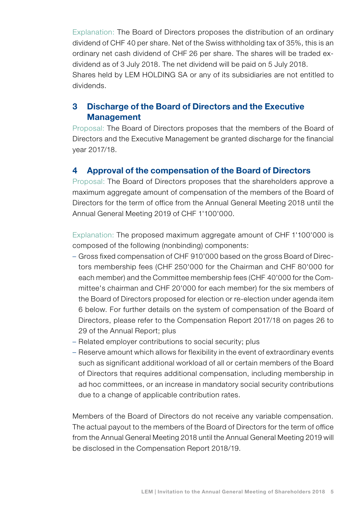Explanation: The Board of Directors proposes the distribution of an ordinary dividend of CHF 40 per share. Net of the Swiss withholding tax of 35%, this is an ordinary net cash dividend of CHF 26 per share. The shares will be traded exdividend as of 3 July 2018. The net dividend will be paid on 5 July 2018. Shares held by LEM HOLDING SA or any of its subsidiaries are not entitled to dividends.

## 3 Discharge of the Board of Directors and the Executive **Management**

Proposal: The Board of Directors proposes that the members of the Board of Directors and the Executive Management be granted discharge for the financial year 2017/18.

### 4 Approval of the compensation of the Board of Directors

Proposal: The Board of Directors proposes that the shareholders approve a maximum aggregate amount of compensation of the members of the Board of Directors for the term of office from the Annual General Meeting 2018 until the Annual General Meeting 2019 of CHF 1'100'000.

Explanation: The proposed maximum aggregate amount of CHF 1'100'000 is composed of the following (nonbinding) components:

- Gross fixed compensation of CHF 910'000 based on the gross Board of Directors membership fees (CHF 250'000 for the Chairman and CHF 80'000 for each member) and the Committee membership fees (CHF 40'000 for the Committee's chairman and CHF 20'000 for each member) for the six members of the Board of Directors proposed for election or re-election under agenda item 6 below. For further details on the system of compensation of the Board of Directors, please refer to the Compensation Report 2017/18 on pages 26 to 29 of the Annual Report; plus
- Related employer contributions to social security; plus
- Reserve amount which allows for flexibility in the event of extraordinary events such as significant additional workload of all or certain members of the Board of Directors that requires additional compensation, including membership in ad hoc committees, or an increase in mandatory social security contributions due to a change of applicable contribution rates.

Members of the Board of Directors do not receive any variable compensation. The actual payout to the members of the Board of Directors for the term of office from the Annual General Meeting 2018 until the Annual General Meeting 2019 will be disclosed in the Compensation Report 2018/19.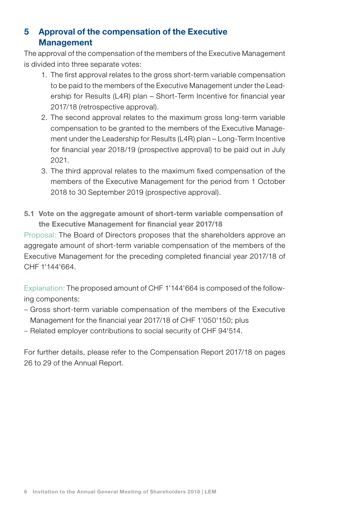## 5 Approval of the compensation of the Executive Management

The approval of the compensation of the members of the Executive Management is divided into three separate votes:

- 1. The first approval relates to the gross short-term variable compensation to be paid to the members of the Executive Management under the Leadership for Results (L4R) plan – Short-Term Incentive for financial year 2017/18 (retrospective approval).
- 2. The second approval relates to the maximum gross long-term variable compensation to be granted to the members of the Executive Management under the Leadership for Results (L4R) plan – Long-Term Incentive for financial year 2018/19 (prospective approval) to be paid out in July 2021.
- 3. The third approval relates to the maximum fixed compensation of the members of the Executive Management for the period from 1 October 2018 to 30 September 2019 (prospective approval).
- 5.1 Vote on the aggregate amount of short-term variable compensation of the Executive Management for financial year 2017/18

Proposal: The Board of Directors proposes that the shareholders approve an aggregate amount of short-term variable compensation of the members of the Executive Management for the preceding completed financial year 2017/18 of CHF 1'144'664.

Explanation: The proposed amount of CHF 1'144'664 is composed of the following components:

- Gross short-term variable compensation of the members of the Executive Management for the financial year 2017/18 of CHF 1'050'150; plus
- Related employer contributions to social security of CHF 94'514.

For further details, please refer to the Compensation Report 2017/18 on pages 26 to 29 of the Annual Report.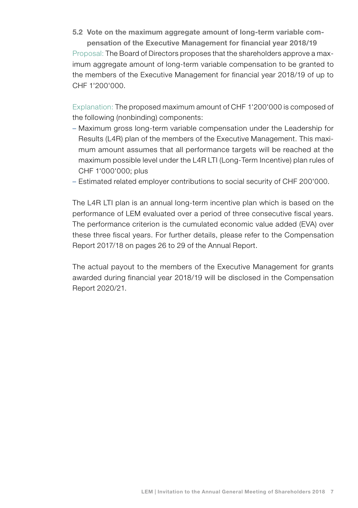5.2 Vote on the maximum aggregate amount of long-term variable compensation of the Executive Management for financial year 2018/19 Proposal: The Board of Directors proposes that the shareholders approve a maximum aggregate amount of long-term variable compensation to be granted to the members of the Executive Management for financial year 2018/19 of up to CHF 1'200'000.

Explanation: The proposed maximum amount of CHF 1'200'000 is composed of the following (nonbinding) components:

- Maximum gross long-term variable compensation under the Leadership for Results (L4R) plan of the members of the Executive Management. This maximum amount assumes that all performance targets will be reached at the maximum possible level under the L4R LTI (Long-Term Incentive) plan rules of CHF 1'000'000; plus
- Estimated related employer contributions to social security of CHF 200'000.

The L4R LTI plan is an annual long-term incentive plan which is based on the performance of LEM evaluated over a period of three consecutive fiscal years. The performance criterion is the cumulated economic value added (EVA) over these three fiscal years. For further details, please refer to the Compensation Report 2017/18 on pages 26 to 29 of the Annual Report.

The actual payout to the members of the Executive Management for grants awarded during financial year 2018/19 will be disclosed in the Compensation Report 2020/21.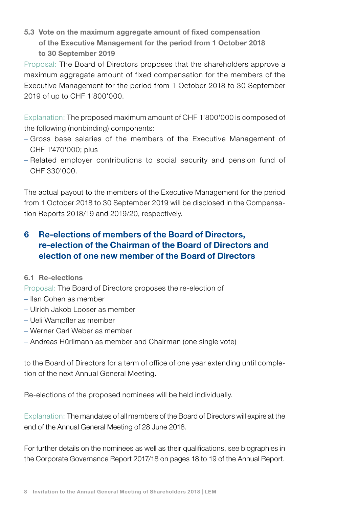5.3 Vote on the maximum aggregate amount of fixed compensation of the Executive Management for the period from 1 October 2018 to 30 September 2019

Proposal: The Board of Directors proposes that the shareholders approve a maximum aggregate amount of fixed compensation for the members of the Executive Management for the period from 1 October 2018 to 30 September 2019 of up to CHF 1'800'000.

Explanation: The proposed maximum amount of CHF 1'800'000 is composed of the following (nonbinding) components:

- Gross base salaries of the members of the Executive Management of CHF 1'470'000; plus
- Related employer contributions to social security and pension fund of CHF 330'000.

The actual payout to the members of the Executive Management for the period from 1 October 2018 to 30 September 2019 will be disclosed in the Compensation Reports 2018/19 and 2019/20, respectively.

## 6 Re-elections of members of the Board of Directors, re-election of the Chairman of the Board of Directors and election of one new member of the Board of Directors

#### 6.1 Re-elections

Proposal: The Board of Directors proposes the re-election of

- Ilan Cohen as member
- Ulrich Jakob Looser as member
- Ueli Wampfler as member
- Werner Carl Weber as member
- Andreas Hürlimann as member and Chairman (one single vote)

to the Board of Directors for a term of office of one year extending until completion of the next Annual General Meeting.

Re-elections of the proposed nominees will be held individually.

Explanation: The mandates of all members of the Board of Directors will expire at the end of the Annual General Meeting of 28 June 2018.

For further details on the nominees as well as their qualifications, see biographies in the Corporate Governance Report 2017/18 on pages 18 to 19 of the Annual Report.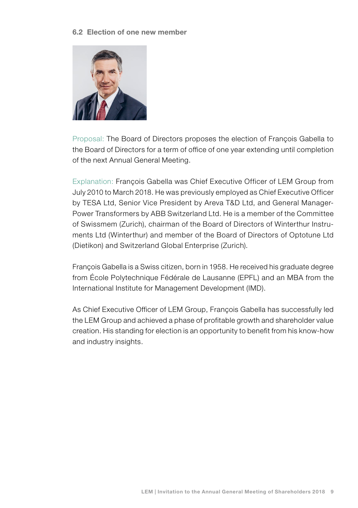#### 6.2 Election of one new member



Proposal: The Board of Directors proposes the election of François Gabella to the Board of Directors for a term of office of one year extending until completion of the next Annual General Meeting.

Explanation: François Gabella was Chief Executive Officer of LEM Group from July 2010 to March 2018. He was previously employed as Chief Executive Officer by TESA Ltd, Senior Vice President by Areva T&D Ltd, and General Manager-Power Transformers by ABB Switzerland Ltd. He is a member of the Committee of Swissmem (Zurich), chairman of the Board of Directors of Winterthur Instruments Ltd (Winterthur) and member of the Board of Directors of Optotune Ltd (Dietikon) and Switzerland Global Enterprise (Zurich).

François Gabella is a Swiss citizen, born in 1958. He received his graduate degree from École Polytechnique Fédérale de Lausanne (EPFL) and an MBA from the International Institute for Management Development (IMD).

As Chief Executive Officer of LEM Group, François Gabella has successfully led the LEM Group and achieved a phase of profitable growth and shareholder value creation. His standing for election is an opportunity to benefit from his know-how and industry insights.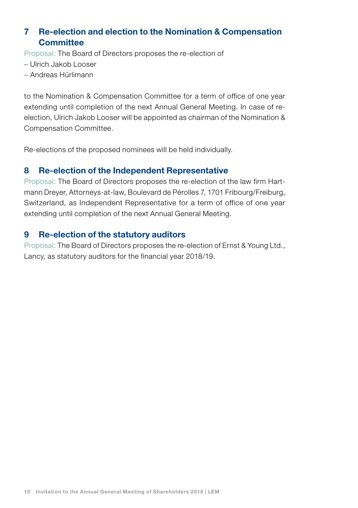## 7 Re-election and election to the Nomination & Compensation **Committee**

Proposal: The Board of Directors proposes the re-election of

- Ulrich Jakob Looser
- Andreas Hürlimann

to the Nomination & Compensation Committee for a term of office of one year extending until completion of the next Annual General Meeting. In case of reelection, Ulrich Jakob Looser will be appointed as chairman of the Nomination & Compensation Committee.

Re-elections of the proposed nominees will be held individually.

### 8 Re-election of the Independent Representative

Proposal: The Board of Directors proposes the re-election of the law firm Hartmann Dreyer, Attorneys-at-law, Boulevard de Pérolles 7, 1701 Fribourg/Freiburg, Switzerland, as Independent Representative for a term of office of one year extending until completion of the next Annual General Meeting.

### 9 Re-election of the statutory auditors

Proposal: The Board of Directors proposes the re-election of Ernst & Young Ltd., Lancy, as statutory auditors for the financial year 2018/19.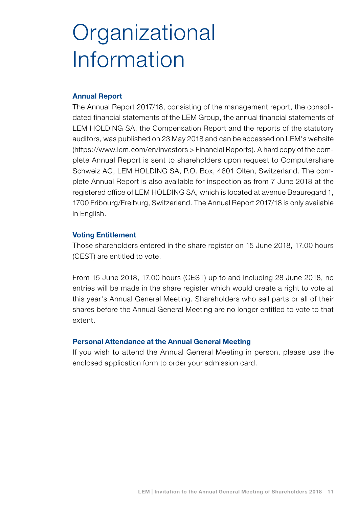# **Organizational** Information

#### Annual Report

The Annual Report 2017/18, consisting of the management report, the consolidated financial statements of the LEM Group, the annual financial statements of LEM HOLDING SA, the Compensation Report and the reports of the statutory auditors, was published on 23 May 2018 and can be accessed on LEM's website (https://www.lem.com/en/investors > Financial Reports). A hard copy of the complete Annual Report is sent to shareholders upon request to Computershare Schweiz AG, LEM HOLDING SA, P.O. Box, 4601 Olten, Switzerland. The complete Annual Report is also available for inspection as from 7 June 2018 at the registered office of LEM HOLDING SA, which is located at avenue Beauregard 1, 1700 Fribourg/Freiburg, Switzerland. The Annual Report 2017/18 is only available in English.

#### Voting Entitlement

Those shareholders entered in the share register on 15 June 2018, 17.00 hours (CEST) are entitled to vote.

From 15 June 2018, 17.00 hours (CEST) up to and including 28 June 2018, no entries will be made in the share register which would create a right to vote at this year's Annual General Meeting. Shareholders who sell parts or all of their shares before the Annual General Meeting are no longer entitled to vote to that extent.

#### Personal Attendance at the Annual General Meeting

If you wish to attend the Annual General Meeting in person, please use the enclosed application form to order your admission card.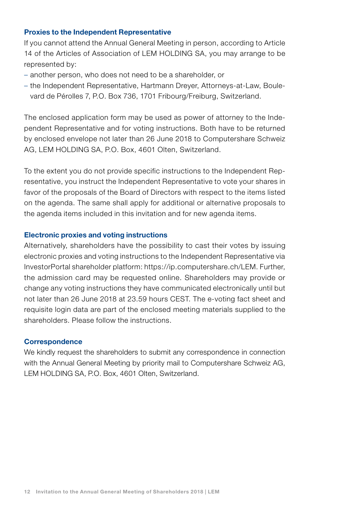#### Proxies to the Independent Representative

If you cannot attend the Annual General Meeting in person, according to Article 14 of the Articles of Association of LEM HOLDING SA, you may arrange to be represented by:

- another person, who does not need to be a shareholder, or
- the Independent Representative, Hartmann Dreyer, Attorneys-at-Law, Boulevard de Pérolles 7, P.O. Box 736, 1701 Fribourg/Freiburg, Switzerland.

The enclosed application form may be used as power of attorney to the Independent Representative and for voting instructions. Both have to be returned by enclosed envelope not later than 26 June 2018 to Computershare Schweiz AG, LEM HOLDING SA, P.O. Box, 4601 Olten, Switzerland.

To the extent you do not provide specific instructions to the Independent Representative, you instruct the Independent Representative to vote your shares in favor of the proposals of the Board of Directors with respect to the items listed on the agenda. The same shall apply for additional or alternative proposals to the agenda items included in this invitation and for new agenda items.

#### Electronic proxies and voting instructions

Alternatively, shareholders have the possibility to cast their votes by issuing electronic proxies and voting instructions to the Independent Representative via InvestorPortal shareholder platform: https://ip.computershare.ch/LEM. Further, the admission card may be requested online. Shareholders may provide or change any voting instructions they have communicated electronically until but not later than 26 June 2018 at 23.59 hours CEST. The e-voting fact sheet and requisite login data are part of the enclosed meeting materials supplied to the shareholders. Please follow the instructions.

#### **Correspondence**

We kindly request the shareholders to submit any correspondence in connection with the Annual General Meeting by priority mail to Computershare Schweiz AG, LEM HOLDING SA, P.O. Box, 4601 Olten, Switzerland.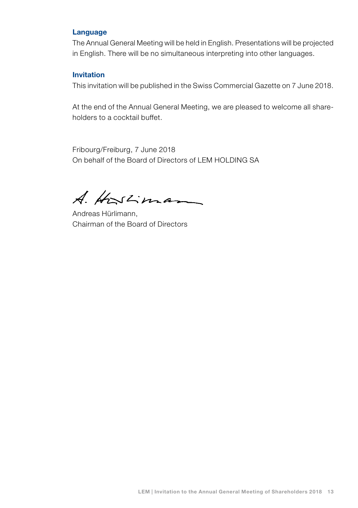#### Language

The Annual General Meeting will be held in English. Presentations will be projected in English. There will be no simultaneous interpreting into other languages.

#### Invitation

This invitation will be published in the Swiss Commercial Gazette on 7 June 2018.

At the end of the Annual General Meeting, we are pleased to welcome all shareholders to a cocktail buffet.

Fribourg/Freiburg, 7 June 2018 On behalf of the Board of Directors of LEM HOLDING SA

A. Hostiman

Andreas Hürlimann, Chairman of the Board of Directors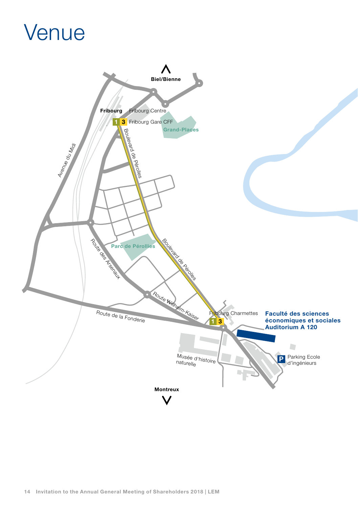## Venue